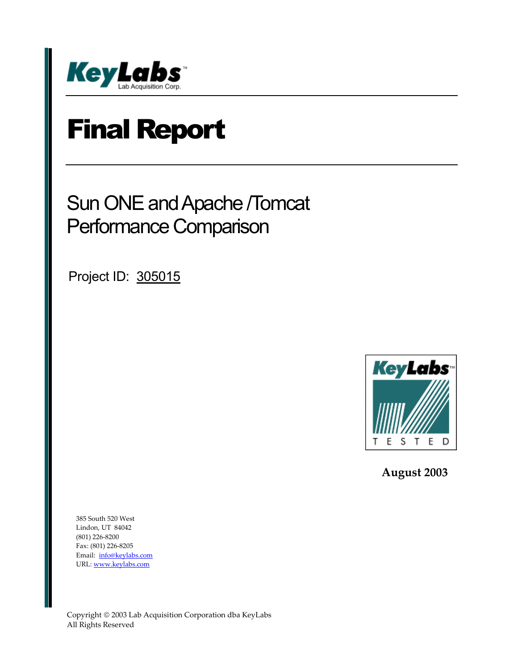

# Final Report

## Sun ONE and Apache /Tomcat Performance Comparison

Project ID: 305015



 **August 2003** 

385 South 520 West Lindon, UT 84042 (801) 226-8200 Fax: (801) 226-8205 Email: info@keylabs.com URL: www.keylabs.com

Copyright 2003 Lab Acquisition Corporation dba KeyLabs All Rights Reserved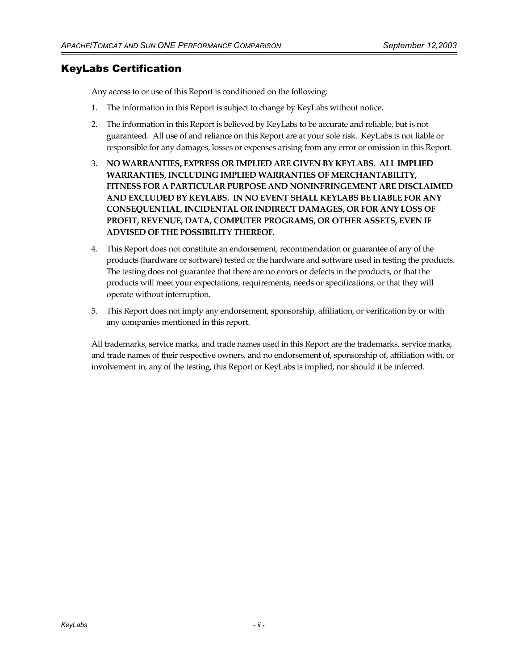## KeyLabs Certification

Any access to or use of this Report is conditioned on the following:

- 1. The information in this Report is subject to change by KeyLabs without notice.
- 2. The information in this Report is believed by KeyLabs to be accurate and reliable, but is not guaranteed. All use of and reliance on this Report are at your sole risk. KeyLabs is not liable or responsible for any damages, losses or expenses arising from any error or omission in this Report.
- 3. **NO WARRANTIES, EXPRESS OR IMPLIED ARE GIVEN BY KEYLABS. ALL IMPLIED WARRANTIES, INCLUDING IMPLIED WARRANTIES OF MERCHANTABILITY, FITNESS FOR A PARTICULAR PURPOSE AND NONINFRINGEMENT ARE DISCLAIMED AND EXCLUDED BY KEYLABS. IN NO EVENT SHALL KEYLABS BE LIABLE FOR ANY CONSEQUENTIAL, INCIDENTAL OR INDIRECT DAMAGES, OR FOR ANY LOSS OF PROFIT, REVENUE, DATA, COMPUTER PROGRAMS, OR OTHER ASSETS, EVEN IF ADVISED OF THE POSSIBILITY THEREOF.**
- 4. This Report does not constitute an endorsement, recommendation or guarantee of any of the products (hardware or software) tested or the hardware and software used in testing the products. The testing does not guarantee that there are no errors or defects in the products, or that the products will meet your expectations, requirements, needs or specifications, or that they will operate without interruption.
- 5. This Report does not imply any endorsement, sponsorship, affiliation, or verification by or with any companies mentioned in this report.

All trademarks, service marks, and trade names used in this Report are the trademarks, service marks, and trade names of their respective owners, and no endorsement of, sponsorship of, affiliation with, or involvement in, any of the testing, this Report or KeyLabs is implied, nor should it be inferred.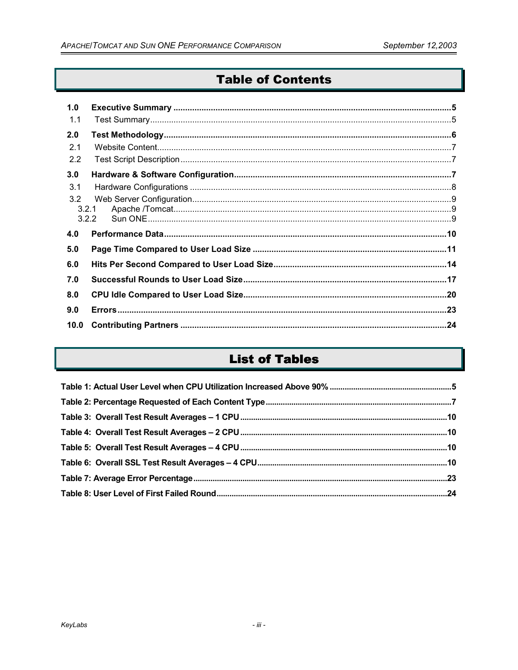## **Table of Contents**

| 1.0   |  |
|-------|--|
| 1.1   |  |
| 2.0   |  |
| 2.1   |  |
| 2.2   |  |
| 3.0   |  |
| 3.1   |  |
| 3.2   |  |
| 3.2.1 |  |
|       |  |
| 3.2.2 |  |
| 4.0   |  |
| 5.0   |  |
| 6.0   |  |
| 7.0   |  |
| 8.0   |  |
| 9.0   |  |

## **List of Tables**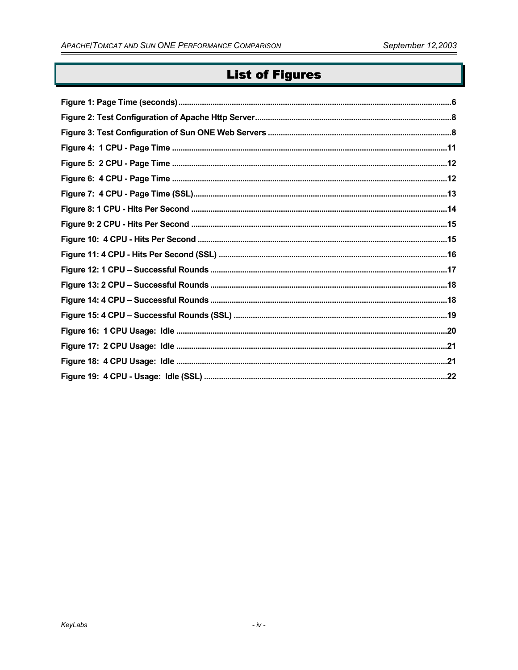## **List of Figures**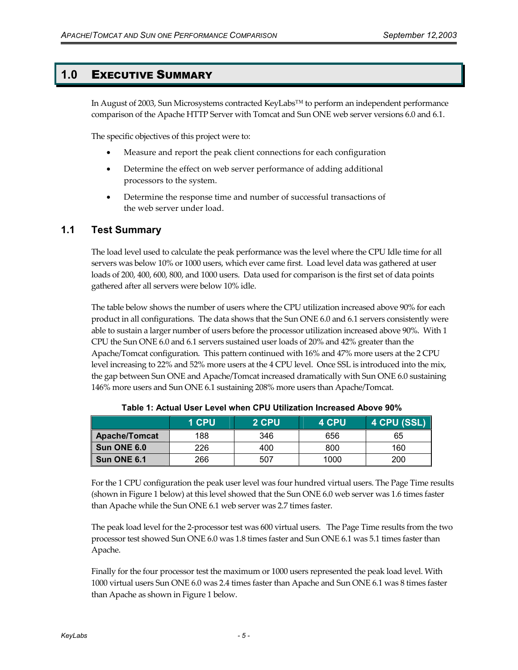#### **1.0** EXECUTIVE SUMMARY

In August of 2003, Sun Microsystems contracted KeyLabs™ to perform an independent performance comparison of the Apache HTTP Server with Tomcat and Sun ONE web server versions 6.0 and 6.1.

The specific objectives of this project were to:

- Measure and report the peak client connections for each configuration
- Determine the effect on web server performance of adding additional processors to the system.
- Determine the response time and number of successful transactions of the web server under load.

#### **1.1 Test Summary**

The load level used to calculate the peak performance was the level where the CPU Idle time for all servers was below 10% or 1000 users, which ever came first. Load level data was gathered at user loads of 200, 400, 600, 800, and 1000 users. Data used for comparison is the first set of data points gathered after all servers were below 10% idle.

The table below shows the number of users where the CPU utilization increased above 90% for each product in all configurations. The data shows that the Sun ONE 6.0 and 6.1 servers consistently were able to sustain a larger number of users before the processor utilization increased above 90%. With 1 CPU the Sun ONE 6.0 and 6.1 servers sustained user loads of 20% and 42% greater than the Apache/Tomcat configuration. This pattern continued with 16% and 47% more users at the 2 CPU level increasing to 22% and 52% more users at the 4 CPU level. Once SSL is introduced into the mix, the gap between Sun ONE and Apache/Tomcat increased dramatically with Sun ONE 6.0 sustaining 146% more users and Sun ONE 6.1 sustaining 208% more users than Apache/Tomcat.

|                      | 1 CPU | 2 CPU | 4 CPU | 4 CPU (SSL) |
|----------------------|-------|-------|-------|-------------|
| <b>Apache/Tomcat</b> | 188   | 346   | 656   | 65          |
| Sun ONE 6.0          | 226   | 400   | 800   | 160         |
| Sun ONE 6.1          | 266   | 507   | 1000  | 200         |

**Table 1: Actual User Level when CPU Utilization Increased Above 90%** 

For the 1 CPU configuration the peak user level was four hundred virtual users. The Page Time results (shown in Figure 1 below) at this level showed that the Sun ONE 6.0 web server was 1.6 times faster than Apache while the Sun ONE 6.1 web server was 2.7 times faster.

The peak load level for the 2-processor test was 600 virtual users. The Page Time results from the two processor test showed Sun ONE 6.0 was 1.8 times faster and Sun ONE 6.1 was 5.1 times faster than Apache.

Finally for the four processor test the maximum or 1000 users represented the peak load level. With 1000 virtual users Sun ONE 6.0 was 2.4 times faster than Apache and Sun ONE 6.1 was 8 times faster than Apache as shown in Figure 1 below.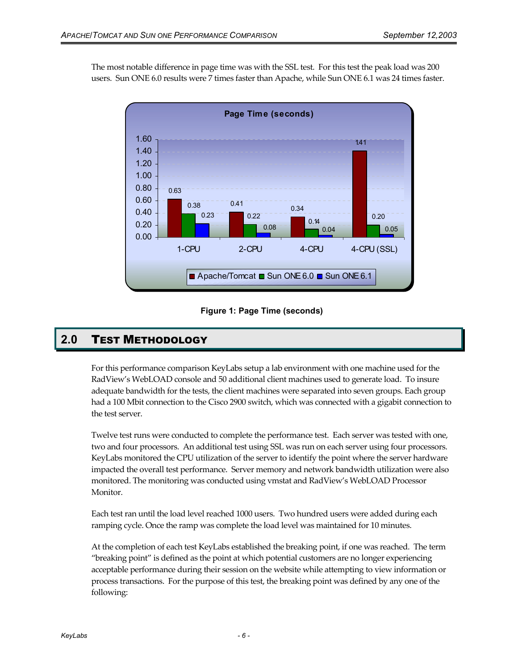The most notable difference in page time was with the SSL test. For this test the peak load was 200 users. Sun ONE 6.0 results were 7 times faster than Apache, while Sun ONE 6.1 was 24 times faster.



#### **Figure 1: Page Time (seconds)**

## **2.0** TEST METHODOLOGY

For this performance comparison KeyLabs setup a lab environment with one machine used for the RadView's WebLOAD console and 50 additional client machines used to generate load. To insure adequate bandwidth for the tests, the client machines were separated into seven groups. Each group had a 100 Mbit connection to the Cisco 2900 switch, which was connected with a gigabit connection to the test server.

Twelve test runs were conducted to complete the performance test. Each server was tested with one, two and four processors. An additional test using SSL was run on each server using four processors. KeyLabs monitored the CPU utilization of the server to identify the point where the server hardware impacted the overall test performance. Server memory and network bandwidth utilization were also monitored. The monitoring was conducted using vmstat and RadView's WebLOAD Processor Monitor.

Each test ran until the load level reached 1000 users. Two hundred users were added during each ramping cycle. Once the ramp was complete the load level was maintained for 10 minutes.

At the completion of each test KeyLabs established the breaking point, if one was reached. The term "breaking point" is defined as the point at which potential customers are no longer experiencing acceptable performance during their session on the website while attempting to view information or process transactions. For the purpose of this test, the breaking point was defined by any one of the following: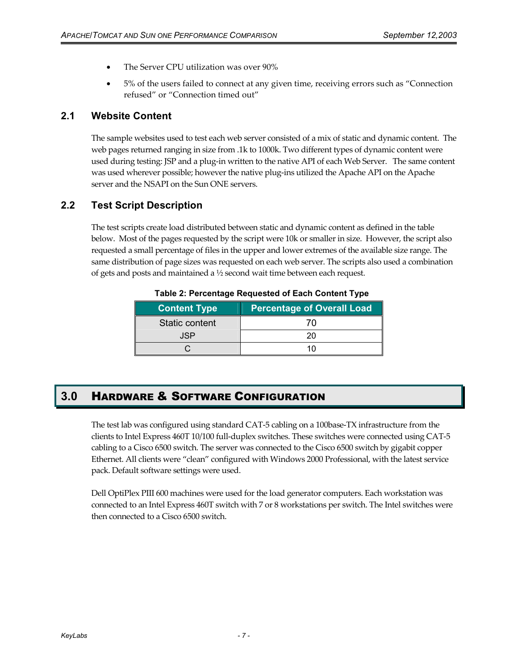- The Server CPU utilization was over 90%
- 5% of the users failed to connect at any given time, receiving errors such as "Connection refused" or "Connection timed out"

## **2.1 Website Content**

The sample websites used to test each web server consisted of a mix of static and dynamic content. The web pages returned ranging in size from .1k to 1000k. Two different types of dynamic content were used during testing: JSP and a plug-in written to the native API of each Web Server. The same content was used wherever possible; however the native plug-ins utilized the Apache API on the Apache server and the NSAPI on the Sun ONE servers.

## **2.2 Test Script Description**

The test scripts create load distributed between static and dynamic content as defined in the table below. Most of the pages requested by the script were 10k or smaller in size. However, the script also requested a small percentage of files in the upper and lower extremes of the available size range. The same distribution of page sizes was requested on each web server. The scripts also used a combination of gets and posts and maintained a ½ second wait time between each request.

| <b>Content Type</b> | <b>Percentage of Overall Load</b> |
|---------------------|-----------------------------------|
| Static content      |                                   |
| .ISP                |                                   |
|                     |                                   |

**Table 2: Percentage Requested of Each Content Type** 

## **3.0** HARDWARE & SOFTWARE CONFIGURATION

The test lab was configured using standard CAT-5 cabling on a 100base-TX infrastructure from the clients to Intel Express 460T 10/100 full-duplex switches. These switches were connected using CAT-5 cabling to a Cisco 6500 switch. The server was connected to the Cisco 6500 switch by gigabit copper Ethernet. All clients were "clean" configured with Windows 2000 Professional, with the latest service pack. Default software settings were used.

Dell OptiPlex PIII 600 machines were used for the load generator computers. Each workstation was connected to an Intel Express 460T switch with 7 or 8 workstations per switch. The Intel switches were then connected to a Cisco 6500 switch.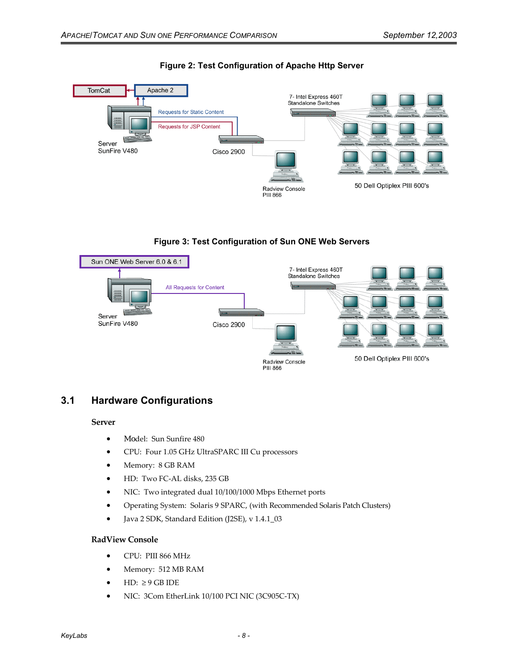

#### **Figure 2: Test Configuration of Apache Http Server**





## **3.1 Hardware Configurations**

#### **Server**

- Model: Sun Sunfire 480
- CPU: Four 1.05 GHz UltraSPARC III Cu processors
- Memory: 8 GB RAM
- HD: Two FC-AL disks, 235 GB
- NIC: Two integrated dual 10/100/1000 Mbps Ethernet ports
- Operating System: Solaris 9 SPARC, (with Recommended Solaris Patch Clusters)
- Java 2 SDK, Standard Edition (J2SE), v 1.4.1\_03

#### **RadView Console**

- CPU: PIII 866 MHz
- Memory: 512 MB RAM
- HD:  $\geq 9$  GB IDE
- NIC: 3Com EtherLink 10/100 PCI NIC (3C905C-TX)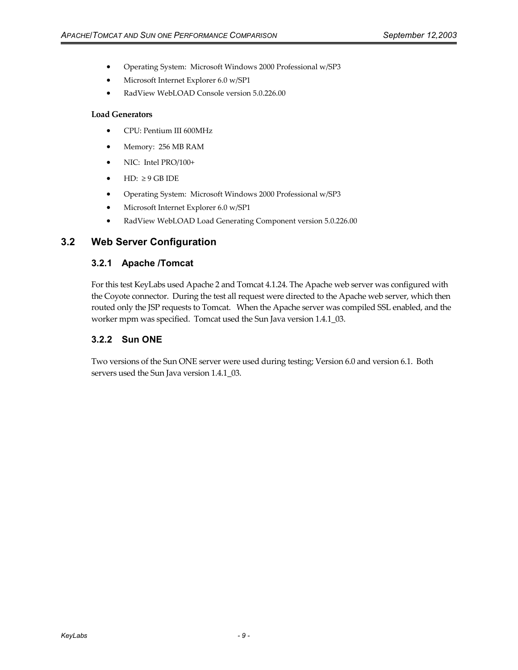- Operating System: Microsoft Windows 2000 Professional w/SP3
- Microsoft Internet Explorer 6.0 w/SP1
- RadView WebLOAD Console version 5.0.226.00

#### **Load Generators**

- CPU: Pentium III 600MHz
- Memory: 256 MB RAM
- NIC: Intel PRO/100+
- $\bullet$  HD:  $\geq 9$  GB IDE
- Operating System: Microsoft Windows 2000 Professional w/SP3
- Microsoft Internet Explorer 6.0 w/SP1
- RadView WebLOAD Load Generating Component version 5.0.226.00

#### **3.2 Web Server Configuration**

#### **3.2.1 Apache /Tomcat**

For this test KeyLabs used Apache 2 and Tomcat 4.1.24. The Apache web server was configured with the Coyote connector. During the test all request were directed to the Apache web server, which then routed only the JSP requests to Tomcat. When the Apache server was compiled SSL enabled, and the worker mpm was specified. Tomcat used the Sun Java version 1.4.1\_03.

#### **3.2.2 Sun ONE**

Two versions of the Sun ONE server were used during testing; Version 6.0 and version 6.1. Both servers used the Sun Java version 1.4.1\_03.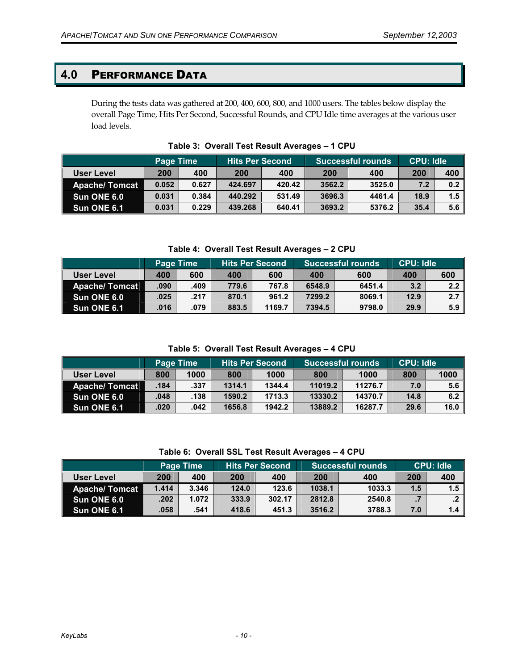## **4.0** PERFORMANCE DATA

During the tests data was gathered at 200, 400, 600, 800, and 1000 users. The tables below display the overall Page Time, Hits Per Second, Successful Rounds, and CPU Idle time averages at the various user load levels.

|                      | Page Time |       | <b>Hits Per Second</b> |        | <b>Successful rounds</b> |        | <b>CPU: Idle</b> |     |
|----------------------|-----------|-------|------------------------|--------|--------------------------|--------|------------------|-----|
| User Level           | 200       | 400   | 200                    | 400    | 200                      | 400    | 200              | 400 |
| <b>Apache/Tomcat</b> | 0.052     | 0.627 | 424.697                | 420.42 | 3562.2                   | 3525.0 | 7.2              | 0.2 |
| Sun ONE 6.0          | 0.031     | 0.384 | 440.292                | 531.49 | 3696.3                   | 4461.4 | 18.9             | 1.5 |
| Sun ONE 6.1          | 0.031     | 0.229 | 439.268                | 640.41 | 3693.2                   | 5376.2 | 35.4             | 5.6 |

**Table 3: Overall Test Result Averages – 1 CPU** 

#### **Table 4: Overall Test Result Averages – 2 CPU**

|                      |      | Page Time |       | <b>Hits Per Second</b> |        | <b>Successful rounds</b> |      | <b>CPU: Idle</b> |  |
|----------------------|------|-----------|-------|------------------------|--------|--------------------------|------|------------------|--|
| <b>User Level</b>    | 400  | 600       | 400   | 600                    | 400    | 600                      | 400  | 600              |  |
| Apache/ Tomcat       | .090 | .409      | 779.6 | 767.8                  | 6548.9 | 6451.4                   | 3.2  | 2.2              |  |
| Sun ONE 6.0          | .025 | .217      | 870.1 | 961.2                  | 7299.2 | 8069.1                   | 12.9 | 2.7              |  |
| <b>Sun ONE 6.1</b> ا | .016 | .079      | 883.5 | 1169.7                 | 7394.5 | 9798.0                   | 29.9 | 5.9              |  |

**Table 5: Overall Test Result Averages – 4 CPU** 

|                      | Page Time |      | <b>Hits Per Second</b> |        | <b>Successful rounds</b> ا |         | <b>CPU: Idle</b> |      |
|----------------------|-----------|------|------------------------|--------|----------------------------|---------|------------------|------|
| User Level           | 800       | 1000 | 800                    | 1000   | 800                        | 1000    | 800              | 1000 |
| <b>Apache/Tomcat</b> | .184      | .337 | 1314.1                 | 1344.4 | 11019.2                    | 11276.7 | 7.0              | 5.6  |
| Sun ONE 6.0          | .048      | .138 | 1590.2                 | 1713.3 | 13330.2                    | 14370.7 | 14.8             | 6.2  |
| Sun ONE 6.1          | .020      | .042 | 1656.8                 | 1942.2 | 13889.2                    | 16287.7 | 29.6             | 16.0 |

|  |  |  | Table 6: Overall SSL Test Result Averages – 4 CPU |
|--|--|--|---------------------------------------------------|
|--|--|--|---------------------------------------------------|

|                      | Page Time |       | 'Hits Per Second |        | <b>Successful rounds</b> |        | <b>CPU: Idle</b> |     |
|----------------------|-----------|-------|------------------|--------|--------------------------|--------|------------------|-----|
| <b>User Level</b>    | 200       | 400   | 200              | 400    | 200                      | 400    | 200              | 400 |
| <b>Apache/Tomcat</b> | 1.414     | 3.346 | 124.0            | 123.6  | 1038.1                   | 1033.3 | 1.5              | 1.5 |
| Sun ONE 6.0          | .202      | 1.072 | 333.9            | 302.17 | 2812.8                   | 2540.8 |                  |     |
| Sun ONE 6.1          | .058      | .541  | 418.6            | 451.3  | 3516.2                   | 3788.3 | 7.0              | 1.4 |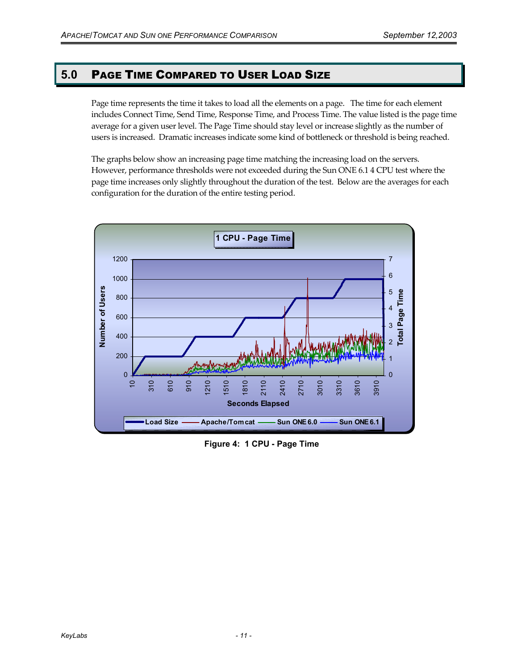## **5.0** PAGE TIME COMPARED TO USER LOAD SIZE

Page time represents the time it takes to load all the elements on a page. The time for each element includes Connect Time, Send Time, Response Time, and Process Time. The value listed is the page time average for a given user level. The Page Time should stay level or increase slightly as the number of users is increased. Dramatic increases indicate some kind of bottleneck or threshold is being reached.

The graphs below show an increasing page time matching the increasing load on the servers. However, performance thresholds were not exceeded during the Sun ONE 6.1 4 CPU test where the page time increases only slightly throughout the duration of the test. Below are the averages for each configuration for the duration of the entire testing period.



**Figure 4: 1 CPU - Page Time**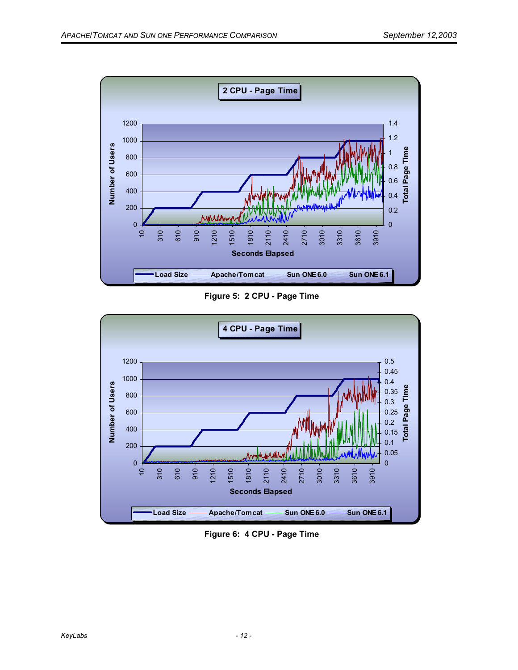

**Figure 5: 2 CPU - Page Time** 



**Figure 6: 4 CPU - Page Time**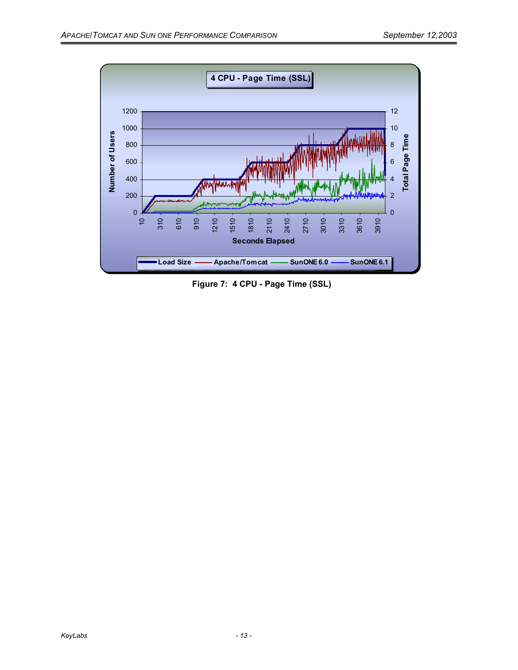

**Figure 7: 4 CPU - Page Time (SSL)**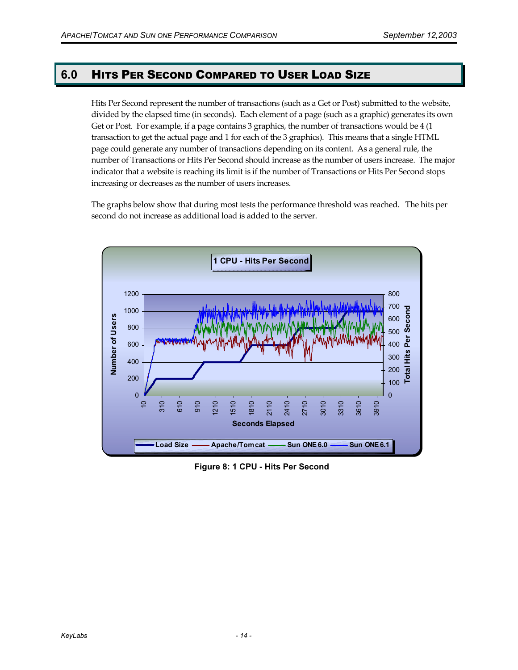## **6.0** HITS PER SECOND COMPARED TO USER LOAD SIZE

Hits Per Second represent the number of transactions (such as a Get or Post) submitted to the website, divided by the elapsed time (in seconds). Each element of a page (such as a graphic) generates its own Get or Post. For example, if a page contains 3 graphics, the number of transactions would be 4 (1) transaction to get the actual page and 1 for each of the 3 graphics). This means that a single HTML page could generate any number of transactions depending on its content. As a general rule, the number of Transactions or Hits Per Second should increase as the number of users increase. The major indicator that a website is reaching its limit is if the number of Transactions or Hits Per Second stops increasing or decreases as the number of users increases.

The graphs below show that during most tests the performance threshold was reached. The hits per second do not increase as additional load is added to the server.



**Figure 8: 1 CPU - Hits Per Second**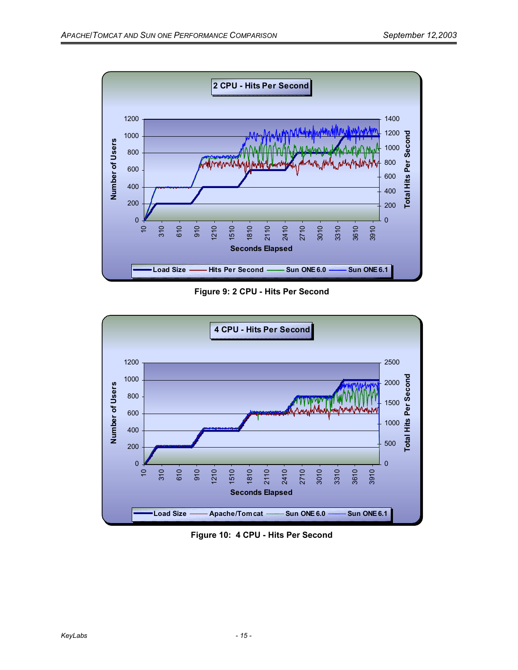

**Figure 9: 2 CPU - Hits Per Second** 



**Figure 10: 4 CPU - Hits Per Second**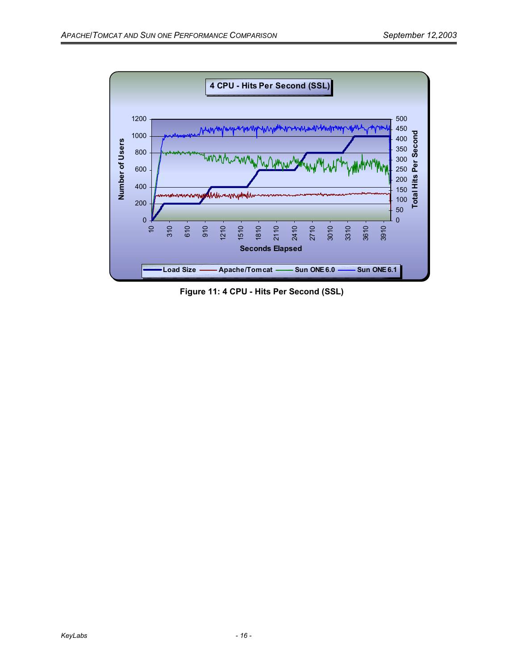

**Figure 11: 4 CPU - Hits Per Second (SSL)**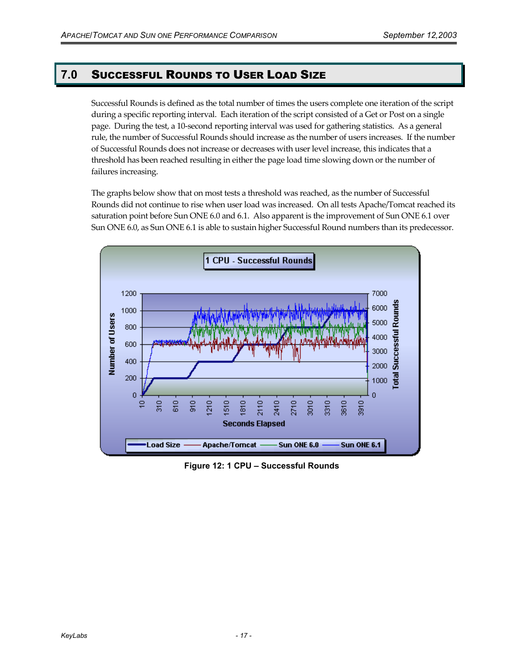## **7.0** SUCCESSFUL ROUNDS TO USER LOAD SIZE

Successful Rounds is defined as the total number of times the users complete one iteration of the script during a specific reporting interval. Each iteration of the script consisted of a Get or Post on a single page. During the test, a 10-second reporting interval was used for gathering statistics. As a general rule, the number of Successful Rounds should increase as the number of users increases. If the number of Successful Rounds does not increase or decreases with user level increase, this indicates that a threshold has been reached resulting in either the page load time slowing down or the number of failures increasing.

The graphs below show that on most tests a threshold was reached, as the number of Successful Rounds did not continue to rise when user load was increased. On all tests Apache/Tomcat reached its saturation point before Sun ONE 6.0 and 6.1. Also apparent is the improvement of Sun ONE 6.1 over Sun ONE 6.0, as Sun ONE 6.1 is able to sustain higher Successful Round numbers than its predecessor.



**Figure 12: 1 CPU – Successful Rounds**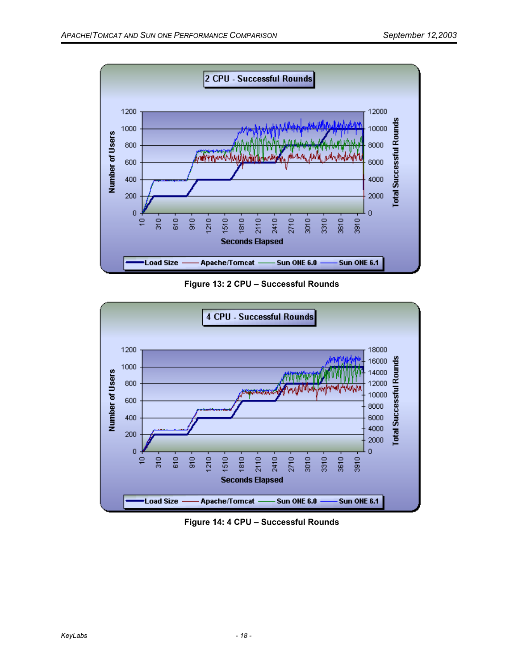

**Figure 13: 2 CPU – Successful Rounds** 



**Figure 14: 4 CPU – Successful Rounds**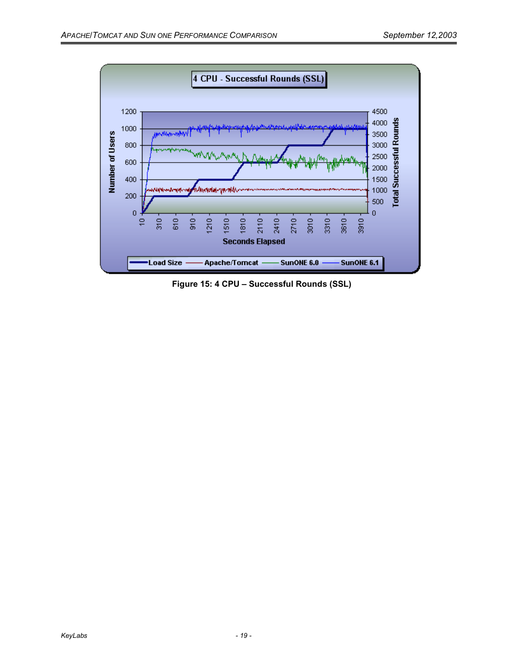

**Figure 15: 4 CPU – Successful Rounds (SSL)**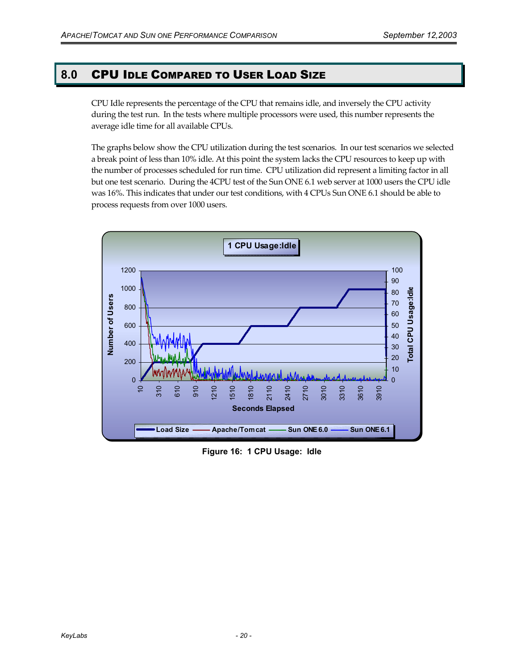## **8.0** CPU IDLE COMPARED TO USER LOAD SIZE

CPU Idle represents the percentage of the CPU that remains idle, and inversely the CPU activity during the test run. In the tests where multiple processors were used, this number represents the average idle time for all available CPUs.

The graphs below show the CPU utilization during the test scenarios. In our test scenarios we selected a break point of less than 10% idle. At this point the system lacks the CPU resources to keep up with the number of processes scheduled for run time. CPU utilization did represent a limiting factor in all but one test scenario. During the 4CPU test of the Sun ONE 6.1 web server at 1000 users the CPU idle was 16%. This indicates that under our test conditions, with 4 CPUs Sun ONE 6.1 should be able to process requests from over 1000 users.



**Figure 16: 1 CPU Usage: Idle**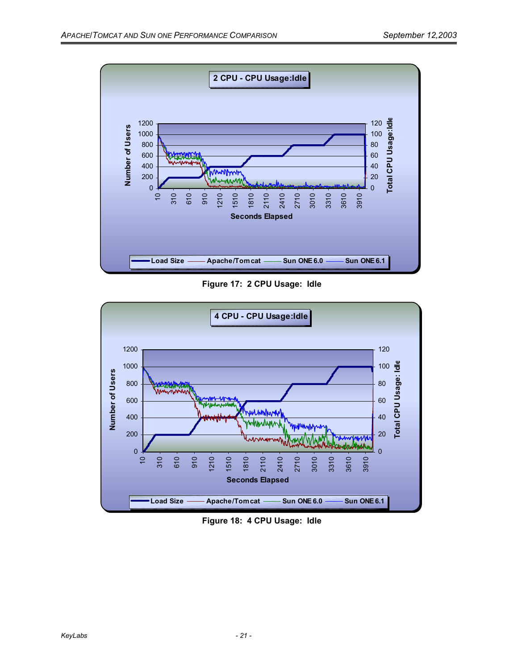

**Figure 17: 2 CPU Usage: Idle** 



**Figure 18: 4 CPU Usage: Idle**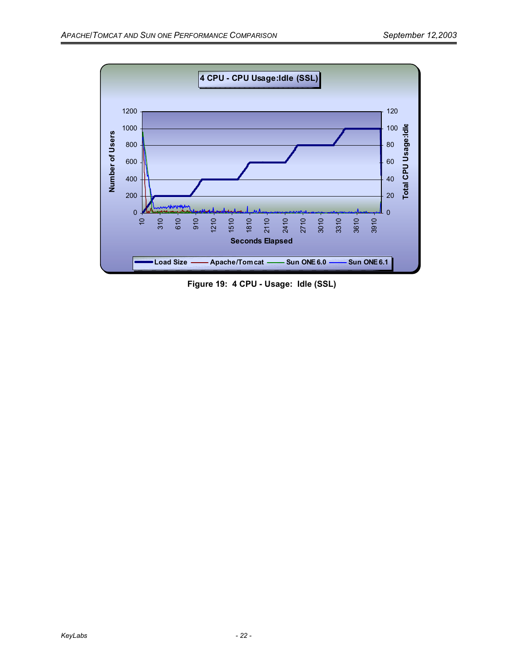

**Figure 19: 4 CPU - Usage: Idle (SSL)**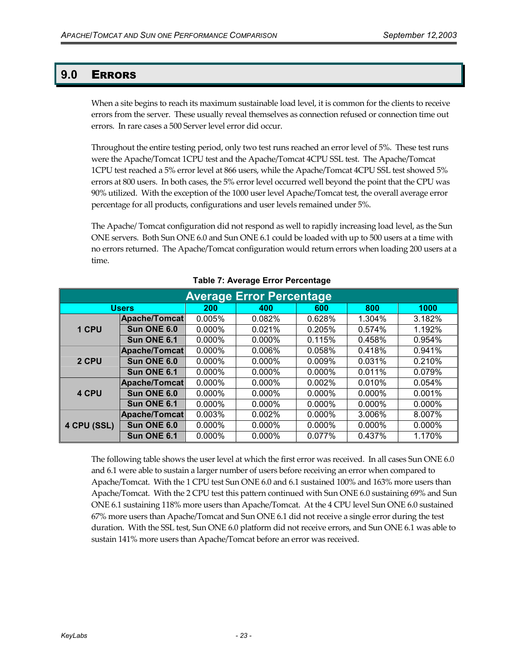## **9.0** ERRORS

When a site begins to reach its maximum sustainable load level, it is common for the clients to receive errors from the server. These usually reveal themselves as connection refused or connection time out errors. In rare cases a 500 Server level error did occur.

Throughout the entire testing period, only two test runs reached an error level of 5%. These test runs were the Apache/Tomcat 1CPU test and the Apache/Tomcat 4CPU SSL test. The Apache/Tomcat 1CPU test reached a 5% error level at 866 users, while the Apache/Tomcat 4CPU SSL test showed 5% errors at 800 users. In both cases, the 5% error level occurred well beyond the point that the CPU was 90% utilized. With the exception of the 1000 user level Apache/Tomcat test, the overall average error percentage for all products, configurations and user levels remained under 5%.

The Apache/ Tomcat configuration did not respond as well to rapidly increasing load level, as the Sun ONE servers. Both Sun ONE 6.0 and Sun ONE 6.1 could be loaded with up to 500 users at a time with no errors returned. The Apache/Tomcat configuration would return errors when loading 200 users at a time.

| <b>Average Error Percentage</b> |                      |           |           |           |           |        |  |  |
|---------------------------------|----------------------|-----------|-----------|-----------|-----------|--------|--|--|
|                                 | <b>Users</b>         | 200       | 400       | 600       | 800       | 1000   |  |  |
|                                 | <b>Apache/Tomcat</b> | 0.005%    | 0.082%    | 0.628%    | 1.304%    | 3.182% |  |  |
| 1 CPU                           | Sun ONE 6.0          | $0.000\%$ | 0.021%    | 0.205%    | 0.574%    | 1.192% |  |  |
|                                 | Sun ONE 6.1          | $0.000\%$ | $0.000\%$ | 0.115%    | 0.458%    | 0.954% |  |  |
|                                 | <b>Apache/Tomcat</b> | 0.000%    | 0.006%    | 0.058%    | 0.418%    | 0.941% |  |  |
| 2 CPU                           | Sun ONE 6.0          | 0.000%    | $0.000\%$ | 0.009%    | 0.031%    | 0.210% |  |  |
|                                 | Sun ONE 6.1          | 0.000%    | $0.000\%$ | $0.000\%$ | 0.011%    | 0.079% |  |  |
|                                 | Apache/Tomcat        | 0.000%    | $0.000\%$ | 0.002%    | $0.010\%$ | 0.054% |  |  |
| 4 CPU                           | Sun ONE 6.0          | 0.000%    | 0.000%    | 0.000%    | 0.000%    | 0.001% |  |  |
|                                 | Sun ONE 6.1          | 0.000%    | $0.000\%$ | 0.000%    | 0.000%    | 0.000% |  |  |
|                                 | Apache/Tomcat        | 0.003%    | 0.002%    | 0.000%    | 3.006%    | 8.007% |  |  |
| 4 CPU (SSL)                     | Sun ONE 6.0          | 0.000%    | 0.000%    | 0.000%    | 0.000%    | 0.000% |  |  |
|                                 | Sun ONE 6.1          | 0.000%    | 0.000%    | 0.077%    | 0.437%    | 1.170% |  |  |

#### **Table 7: Average Error Percentage**

The following table shows the user level at which the first error was received. In all cases Sun ONE 6.0 and 6.1 were able to sustain a larger number of users before receiving an error when compared to Apache/Tomcat. With the 1 CPU test Sun ONE 6.0 and 6.1 sustained 100% and 163% more users than Apache/Tomcat. With the 2 CPU test this pattern continued with Sun ONE 6.0 sustaining 69% and Sun ONE 6.1 sustaining 118% more users than Apache/Tomcat. At the 4 CPU level Sun ONE 6.0 sustained 67% more users than Apache/Tomcat and Sun ONE 6.1 did not receive a single error during the test duration. With the SSL test, Sun ONE 6.0 platform did not receive errors, and Sun ONE 6.1 was able to sustain 141% more users than Apache/Tomcat before an error was received.